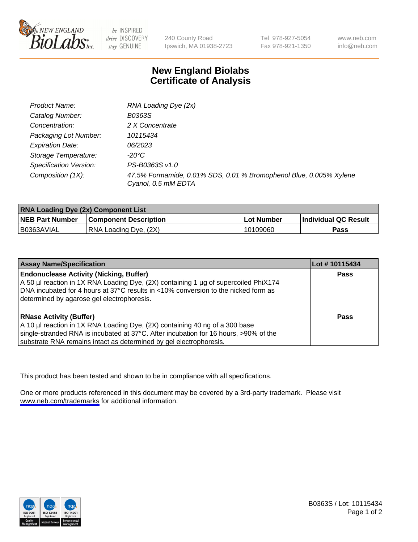

be INSPIRED drive DISCOVERY stay GENUINE

240 County Road Ipswich, MA 01938-2723

Tel 978-927-5054 Fax 978-921-1350

www.neb.com info@neb.com

## **New England Biolabs Certificate of Analysis**

| Product Name:           | RNA Loading Dye (2x)                                                                      |
|-------------------------|-------------------------------------------------------------------------------------------|
| Catalog Number:         | B0363S                                                                                    |
| Concentration:          | 2 X Concentrate                                                                           |
| Packaging Lot Number:   | 10115434                                                                                  |
| <b>Expiration Date:</b> | <i>06/2023</i>                                                                            |
| Storage Temperature:    | -20°C                                                                                     |
| Specification Version:  | PS-B0363S v1.0                                                                            |
| Composition (1X):       | 47.5% Formamide, 0.01% SDS, 0.01 % Bromophenol Blue, 0.005% Xylene<br>Cyanol, 0.5 mM EDTA |

| <b>RNA Loading Dye (2x) Component List</b> |                              |            |                             |  |
|--------------------------------------------|------------------------------|------------|-----------------------------|--|
| <b>NEB Part Number</b>                     | <b>Component Description</b> | Lot Number | <b>Individual QC Result</b> |  |
| B0363AVIAL                                 | RNA Loading Dye, (2X)        | 10109060   | Pass                        |  |

| <b>Assay Name/Specification</b>                                                                                                                                                                                                                                             | Lot # 10115434 |
|-----------------------------------------------------------------------------------------------------------------------------------------------------------------------------------------------------------------------------------------------------------------------------|----------------|
| <b>Endonuclease Activity (Nicking, Buffer)</b><br>A 50 µl reaction in 1X RNA Loading Dye, (2X) containing 1 µg of supercoiled PhiX174<br>DNA incubated for 4 hours at 37°C results in <10% conversion to the nicked form as<br>determined by agarose gel electrophoresis.   | <b>Pass</b>    |
| <b>RNase Activity (Buffer)</b><br>A 10 µl reaction in 1X RNA Loading Dye, (2X) containing 40 ng of a 300 base<br>single-stranded RNA is incubated at 37°C. After incubation for 16 hours, >90% of the<br>substrate RNA remains intact as determined by gel electrophoresis. | <b>Pass</b>    |

This product has been tested and shown to be in compliance with all specifications.

One or more products referenced in this document may be covered by a 3rd-party trademark. Please visit <www.neb.com/trademarks>for additional information.